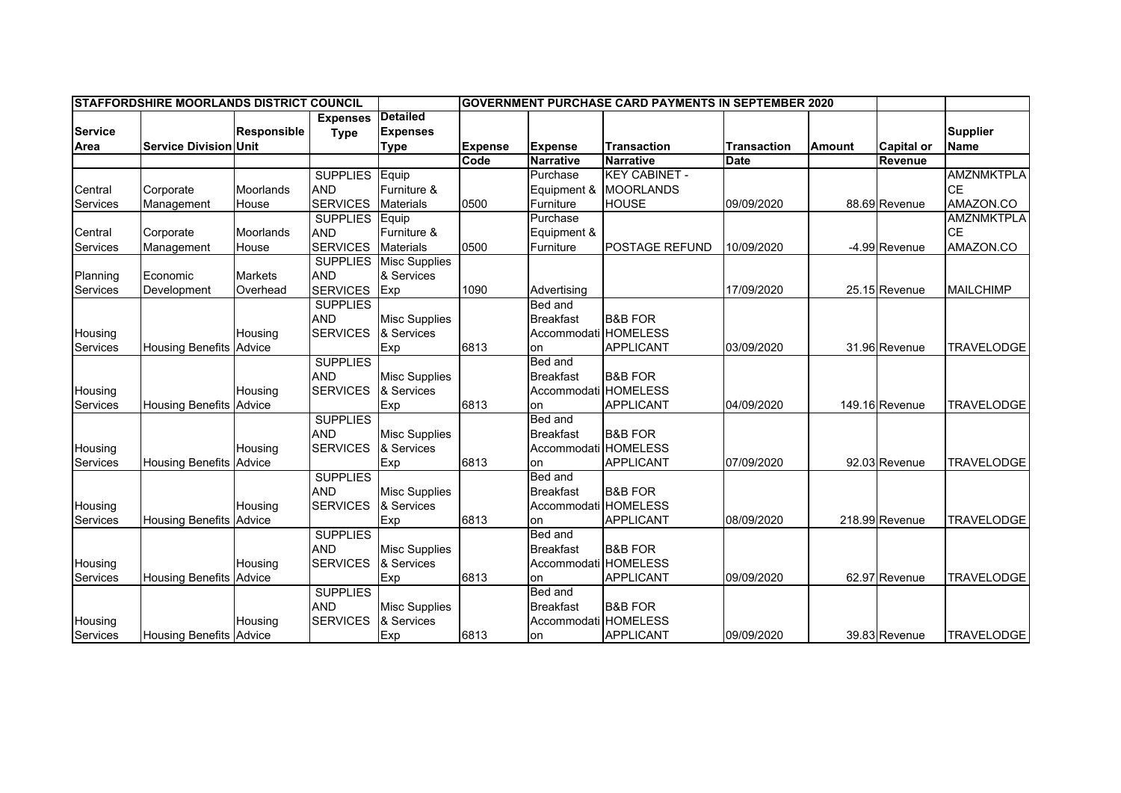| <b>ISTAFFORDSHIRE MOORLANDS DISTRICT COUNCIL</b> |                                |                    |                 |                               | <b>GOVERNMENT PURCHASE CARD PAYMENTS IN SEPTEMBER 2020</b> |                      |                       |                    |               |                   |                   |
|--------------------------------------------------|--------------------------------|--------------------|-----------------|-------------------------------|------------------------------------------------------------|----------------------|-----------------------|--------------------|---------------|-------------------|-------------------|
|                                                  |                                |                    | <b>Expenses</b> | Detailed                      |                                                            |                      |                       |                    |               |                   |                   |
| <b>Service</b>                                   |                                | <b>Responsible</b> | <b>Type</b>     | <b>Expenses</b>               |                                                            |                      |                       |                    |               |                   | <b>Supplier</b>   |
| Area                                             | <b>Service Division Unit</b>   |                    |                 | <b>Type</b>                   | <b>Expense</b>                                             | <b>Expense</b>       | <b>Transaction</b>    | <b>Transaction</b> | <b>Amount</b> | <b>Capital or</b> | <b>Name</b>       |
|                                                  |                                |                    |                 |                               | Code                                                       | <b>Narrative</b>     | <b>Narrative</b>      | <b>Date</b>        |               | Revenue           |                   |
|                                                  |                                |                    | <b>SUPPLIES</b> | Equip                         |                                                            | Purchase             | <b>KEY CABINET -</b>  |                    |               |                   | <b>AMZNMKTPLA</b> |
| Central                                          | Corporate                      | Moorlands          | <b>AND</b>      | Furniture &                   |                                                            | Equipment &          | <b>MOORLANDS</b>      |                    |               |                   | <b>CE</b>         |
| Services                                         | Management                     | House              | <b>SERVICES</b> | <b>Materials</b>              | 0500                                                       | Furniture            | <b>HOUSE</b>          | 09/09/2020         |               | 88.69 Revenue     | AMAZON.CO         |
|                                                  |                                |                    | <b>SUPPLIES</b> | Equip                         |                                                            | Purchase             |                       |                    |               |                   | <b>AMZNMKTPLA</b> |
| Central                                          | Corporate                      | Moorlands          | <b>AND</b>      | Furniture &                   |                                                            | Equipment &          |                       |                    |               |                   | <b>CE</b>         |
| Services                                         | Management                     | House              | <b>SERVICES</b> | <b>Materials</b>              | 0500                                                       | Furniture            | <b>POSTAGE REFUND</b> | 10/09/2020         |               | -4.99 Revenue     | AMAZON.CO         |
|                                                  |                                |                    |                 | <b>SUPPLIES</b> Misc Supplies |                                                            |                      |                       |                    |               |                   |                   |
| Planning                                         | Economic                       | <b>Markets</b>     | <b>AND</b>      | & Services                    |                                                            |                      |                       |                    |               |                   |                   |
| <b>Services</b>                                  | Development                    | Overhead           | <b>SERVICES</b> | Exp                           | 1090                                                       | Advertising          |                       | 17/09/2020         |               | 25.15 Revenue     | <b>MAILCHIMP</b>  |
|                                                  |                                |                    | <b>SUPPLIES</b> |                               |                                                            | <b>Bed and</b>       |                       |                    |               |                   |                   |
|                                                  |                                |                    | <b>AND</b>      | <b>Misc Supplies</b>          |                                                            | <b>Breakfast</b>     | <b>B&amp;B FOR</b>    |                    |               |                   |                   |
| Housing                                          |                                | Housing            | <b>SERVICES</b> | & Services                    |                                                            | Accommodati HOMELESS |                       |                    |               |                   |                   |
| <b>Services</b>                                  | <b>Housing Benefits</b>        | Advice             |                 | Exp                           | 6813                                                       | on                   | <b>APPLICANT</b>      | 03/09/2020         |               | 31.96 Revenue     | <b>TRAVELODGE</b> |
|                                                  |                                |                    | <b>SUPPLIES</b> |                               |                                                            | Bed and              |                       |                    |               |                   |                   |
|                                                  |                                |                    | <b>AND</b>      | <b>Misc Supplies</b>          |                                                            | <b>Breakfast</b>     | <b>B&amp;B FOR</b>    |                    |               |                   |                   |
| Housing                                          |                                | Housing            | <b>SERVICES</b> | & Services                    |                                                            | Accommodati HOMELESS |                       |                    |               |                   |                   |
| <b>Services</b>                                  | <b>Housing Benefits</b>        | Advice             |                 | Exp                           | 6813                                                       | on                   | <b>APPLICANT</b>      | 04/09/2020         |               | 149.16 Revenue    | <b>TRAVELODGE</b> |
|                                                  |                                |                    | <b>SUPPLIES</b> |                               |                                                            | Bed and              |                       |                    |               |                   |                   |
|                                                  |                                |                    | <b>AND</b>      | <b>Misc Supplies</b>          |                                                            | <b>Breakfast</b>     | <b>B&amp;B FOR</b>    |                    |               |                   |                   |
| Housing                                          |                                | Housing            | <b>SERVICES</b> | & Services                    |                                                            | Accommodati HOMELESS |                       |                    |               |                   |                   |
| <b>Services</b>                                  | Housing Benefits Advice        |                    |                 | Exp                           | 6813                                                       | on                   | <b>APPLICANT</b>      | 07/09/2020         |               | 92.03 Revenue     | <b>TRAVELODGE</b> |
|                                                  |                                |                    | <b>SUPPLIES</b> |                               |                                                            | Bed and              |                       |                    |               |                   |                   |
|                                                  |                                |                    | <b>AND</b>      | <b>Misc Supplies</b>          |                                                            | <b>Breakfast</b>     | <b>B&amp;B FOR</b>    |                    |               |                   |                   |
| Housing                                          |                                | Housing            | <b>SERVICES</b> | & Services                    |                                                            | Accommodati HOMELESS |                       |                    |               |                   |                   |
| <b>Services</b>                                  | Housing Benefits Advice        |                    |                 | Exp                           | 6813                                                       | on                   | <b>APPLICANT</b>      | 08/09/2020         |               | 218.99 Revenue    | <b>TRAVELODGE</b> |
|                                                  |                                |                    | <b>SUPPLIES</b> |                               |                                                            | Bed and              |                       |                    |               |                   |                   |
|                                                  |                                |                    | <b>AND</b>      | <b>Misc Supplies</b>          |                                                            | <b>Breakfast</b>     | <b>B&amp;B FOR</b>    |                    |               |                   |                   |
| Housing                                          |                                | Housing            | <b>SERVICES</b> | & Services                    |                                                            | Accommodati HOMELESS |                       |                    |               |                   |                   |
| Services                                         | <b>Housing Benefits Advice</b> |                    |                 | Exp                           | 6813                                                       | on                   | APPLICANT             | 09/09/2020         |               | 62.97 Revenue     | <b>TRAVELODGE</b> |
|                                                  |                                |                    | <b>SUPPLIES</b> |                               |                                                            | <b>Bed and</b>       |                       |                    |               |                   |                   |
|                                                  |                                |                    | <b>AND</b>      | <b>Misc Supplies</b>          |                                                            | <b>Breakfast</b>     | <b>B&amp;B FOR</b>    |                    |               |                   |                   |
| Housing                                          |                                | Housing            | <b>SERVICES</b> | & Services                    |                                                            | Accommodati HOMELESS |                       |                    |               |                   |                   |
| Services                                         | <b>Housing Benefits Advice</b> |                    |                 | Exp                           | 6813                                                       | on                   | <b>APPLICANT</b>      | 09/09/2020         |               | 39.83 Revenue     | <b>TRAVELODGE</b> |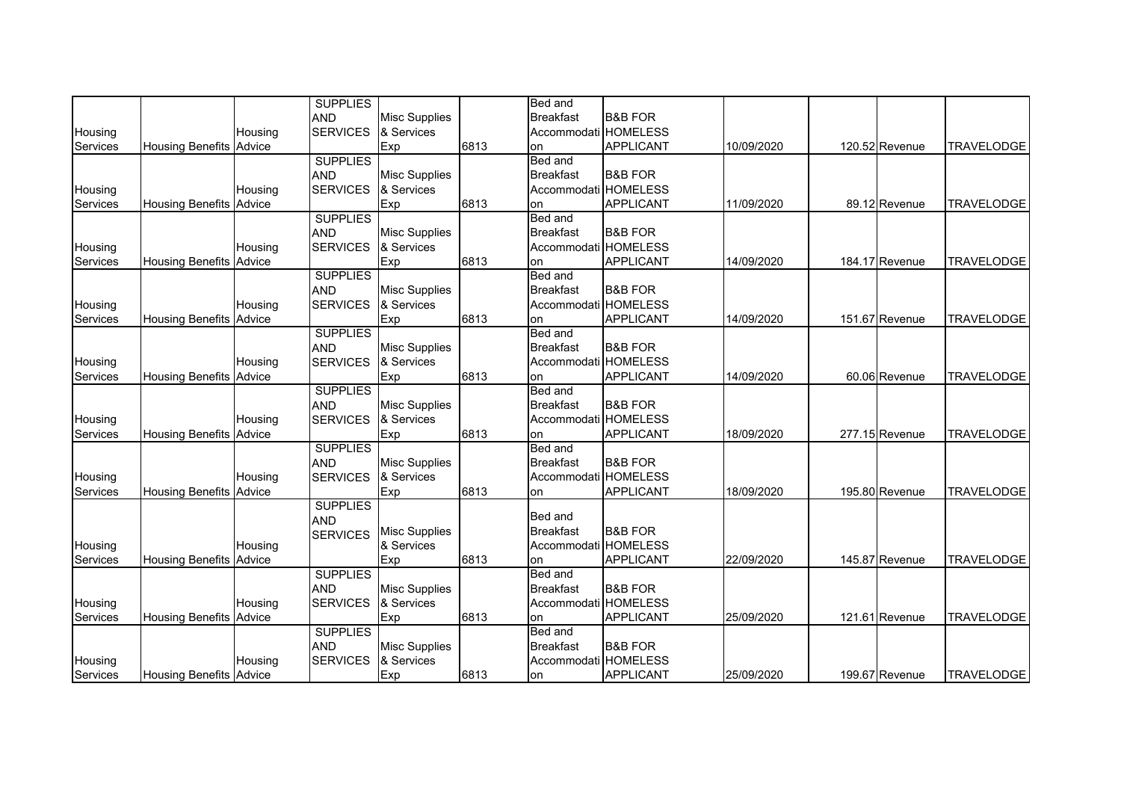|                 |                                |         | <b>SUPPLIES</b> |                      |      | <b>Bed</b> and       |                    |            |                |                   |
|-----------------|--------------------------------|---------|-----------------|----------------------|------|----------------------|--------------------|------------|----------------|-------------------|
|                 |                                |         | <b>AND</b>      | <b>Misc Supplies</b> |      | <b>Breakfast</b>     | <b>B&amp;B FOR</b> |            |                |                   |
| Housing         |                                | Housing | <b>SERVICES</b> | & Services           |      | Accommodati HOMELESS |                    |            |                |                   |
| Services        | <b>Housing Benefits Advice</b> |         |                 | Exp                  | 6813 | on                   | <b>APPLICANT</b>   | 10/09/2020 | 120.52 Revenue | <b>TRAVELODGE</b> |
|                 |                                |         | <b>SUPPLIES</b> |                      |      | <b>Bed and</b>       |                    |            |                |                   |
|                 |                                |         | <b>AND</b>      | <b>Misc Supplies</b> |      | <b>Breakfast</b>     | <b>B&amp;B FOR</b> |            |                |                   |
| Housing         |                                | Housing | <b>SERVICES</b> | & Services           |      | Accommodati HOMELESS |                    |            |                |                   |
| <b>Services</b> | <b>Housing Benefits Advice</b> |         |                 | Exp                  | 6813 | on                   | <b>APPLICANT</b>   | 11/09/2020 | 89.12 Revenue  | <b>TRAVELODGE</b> |
|                 |                                |         | <b>SUPPLIES</b> |                      |      | <b>Bed and</b>       |                    |            |                |                   |
|                 |                                |         | <b>AND</b>      | <b>Misc Supplies</b> |      | <b>Breakfast</b>     | <b>B&amp;B FOR</b> |            |                |                   |
| Housing         |                                | Housing | <b>SERVICES</b> | & Services           |      | Accommodati HOMELESS |                    |            |                |                   |
| Services        | <b>Housing Benefits Advice</b> |         |                 | Exp                  | 6813 | on                   | APPLICANT          | 14/09/2020 | 184.17 Revenue | <b>TRAVELODGE</b> |
|                 |                                |         | <b>SUPPLIES</b> |                      |      | <b>Bed and</b>       |                    |            |                |                   |
|                 |                                |         | <b>AND</b>      | <b>Misc Supplies</b> |      | <b>Breakfast</b>     | <b>B&amp;B FOR</b> |            |                |                   |
| Housing         |                                | Housing | <b>SERVICES</b> | & Services           |      | Accommodati HOMELESS |                    |            |                |                   |
| Services        | <b>Housing Benefits Advice</b> |         |                 | Exp                  | 6813 | lon                  | <b>APPLICANT</b>   | 14/09/2020 | 151.67 Revenue | <b>TRAVELODGE</b> |
|                 |                                |         | <b>SUPPLIES</b> |                      |      | <b>Bed and</b>       |                    |            |                |                   |
|                 |                                |         | <b>AND</b>      | <b>Misc Supplies</b> |      | <b>Breakfast</b>     | <b>B&amp;B FOR</b> |            |                |                   |
| Housing         |                                | Housing | <b>SERVICES</b> | & Services           |      | Accommodati HOMELESS |                    |            |                |                   |
| Services        | Housing Benefits Advice        |         |                 | Exp                  | 6813 | on                   | <b>APPLICANT</b>   | 14/09/2020 | 60.06 Revenue  | <b>TRAVELODGE</b> |
|                 |                                |         | <b>SUPPLIES</b> |                      |      | <b>Bed and</b>       |                    |            |                |                   |
|                 |                                |         | <b>AND</b>      | <b>Misc Supplies</b> |      | <b>Breakfast</b>     | <b>B&amp;B FOR</b> |            |                |                   |
| Housing         |                                | Housing | <b>SERVICES</b> | & Services           |      | Accommodati HOMELESS |                    |            |                |                   |
| Services        | <b>Housing Benefits Advice</b> |         |                 | Exp                  | 6813 | on                   | APPLICANT          | 18/09/2020 | 277.15 Revenue | <b>TRAVELODGE</b> |
|                 |                                |         | <b>SUPPLIES</b> |                      |      | <b>Bed and</b>       |                    |            |                |                   |
|                 |                                |         | <b>AND</b>      | <b>Misc Supplies</b> |      | <b>Breakfast</b>     | <b>B&amp;B FOR</b> |            |                |                   |
| Housing         |                                | Housing | <b>SERVICES</b> | & Services           |      | Accommodati HOMELESS |                    |            |                |                   |
| Services        | <b>Housing Benefits Advice</b> |         |                 | Exp                  | 6813 | on                   | <b>APPLICANT</b>   | 18/09/2020 | 195.80 Revenue | <b>TRAVELODGE</b> |
|                 |                                |         | <b>SUPPLIES</b> |                      |      |                      |                    |            |                |                   |
|                 |                                |         | <b>AND</b>      |                      |      | <b>Bed and</b>       |                    |            |                |                   |
|                 |                                |         | <b>SERVICES</b> | <b>Misc Supplies</b> |      | <b>Breakfast</b>     | <b>B&amp;B FOR</b> |            |                |                   |
| Housing         |                                | Housing |                 | & Services           |      | Accommodati HOMELESS |                    |            |                |                   |
| Services        | <b>Housing Benefits Advice</b> |         |                 | Exp                  | 6813 | on                   | APPLICANT          | 22/09/2020 | 145.87 Revenue | <b>TRAVELODGE</b> |
|                 |                                |         | <b>SUPPLIES</b> |                      |      | <b>Bed and</b>       |                    |            |                |                   |
|                 |                                |         | <b>AND</b>      | <b>Misc Supplies</b> |      | <b>Breakfast</b>     | <b>B&amp;B FOR</b> |            |                |                   |
| Housing         |                                | Housing | <b>SERVICES</b> | & Services           |      | Accommodati HOMELESS |                    |            |                |                   |
| Services        | <b>Housing Benefits Advice</b> |         |                 | Exp                  | 6813 | lon                  | <b>APPLICANT</b>   | 25/09/2020 | 121.61 Revenue | <b>TRAVELODGE</b> |
|                 |                                |         | <b>SUPPLIES</b> |                      |      | <b>Bed and</b>       |                    |            |                |                   |
|                 |                                |         | <b>AND</b>      | <b>Misc Supplies</b> |      | <b>Breakfast</b>     | <b>B&amp;B FOR</b> |            |                |                   |
| Housing         |                                | Housing | <b>SERVICES</b> | & Services           |      | Accommodati HOMELESS |                    |            |                |                   |
| Services        | <b>Housing Benefits Advice</b> |         |                 | Exp                  | 6813 | on                   | <b>APPLICANT</b>   | 25/09/2020 | 199.67 Revenue | <b>TRAVELODGE</b> |
|                 |                                |         |                 |                      |      |                      |                    |            |                |                   |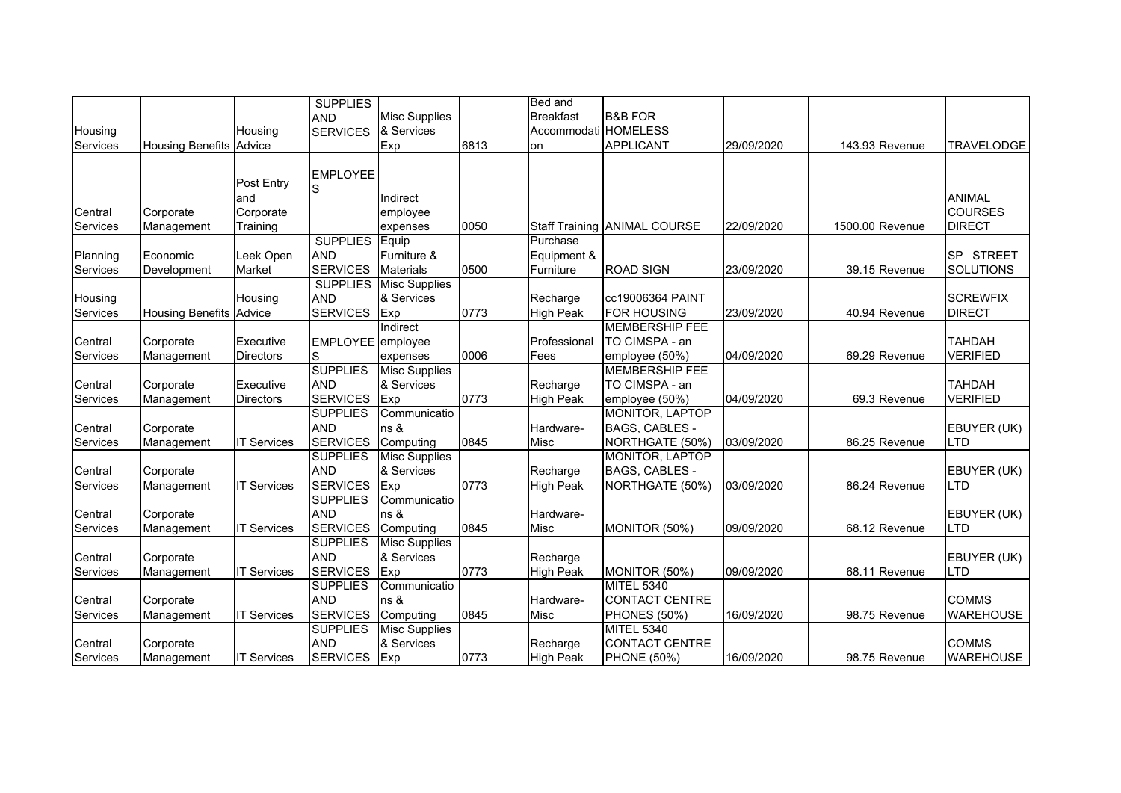|                 |                         |                    | <b>SUPPLIES</b>   |                      |      | Bed and              |                              |            |                 |                            |
|-----------------|-------------------------|--------------------|-------------------|----------------------|------|----------------------|------------------------------|------------|-----------------|----------------------------|
|                 |                         |                    | <b>AND</b>        | <b>Misc Supplies</b> |      | <b>Breakfast</b>     | <b>B&amp;B FOR</b>           |            |                 |                            |
| Housing         |                         | Housing            | <b>SERVICES</b>   | & Services           |      | Accommodati HOMELESS |                              |            |                 |                            |
| Services        | <b>Housing Benefits</b> | Advice             |                   | Exp                  | 6813 | on                   | <b>APPLICANT</b>             | 29/09/2020 | 143.93 Revenue  | <b>TRAVELODGE</b>          |
|                 |                         |                    |                   |                      |      |                      |                              |            |                 |                            |
|                 |                         |                    | <b>EMPLOYEE</b>   |                      |      |                      |                              |            |                 |                            |
|                 |                         | Post Entry         | S                 |                      |      |                      |                              |            |                 |                            |
|                 |                         | and                |                   | Indirect             |      |                      |                              |            |                 | <b>ANIMAL</b>              |
| Central         | Corporate               | Corporate          |                   | employee             |      |                      |                              |            |                 | <b>COURSES</b>             |
| Services        | Management              | Training           |                   | expenses             | 0050 |                      | Staff Training ANIMAL COURSE | 22/09/2020 | 1500.00 Revenue | <b>DIRECT</b>              |
|                 |                         |                    | <b>SUPPLIES</b>   | Equip                |      | Purchase             |                              |            |                 |                            |
| Planning        | Economic                | Leek Open          | <b>AND</b>        | Furniture &          |      | Equipment &          |                              |            |                 | <b>STREET</b><br><b>SP</b> |
| Services        | Development             | Market             | <b>SERVICES</b>   | <b>Materials</b>     | 0500 | Furniture            | <b>ROAD SIGN</b>             | 23/09/2020 | 39.15 Revenue   | <b>SOLUTIONS</b>           |
|                 |                         |                    | <b>SUPPLIES</b>   | <b>Misc Supplies</b> |      |                      |                              |            |                 |                            |
| Housing         |                         | Housing            | <b>AND</b>        | & Services           |      | Recharge             | cc19006364 PAINT             |            |                 | <b>SCREWFIX</b>            |
| Services        | <b>Housing Benefits</b> | Advice             | <b>SERVICES</b>   | Exp                  | 0773 | <b>High Peak</b>     | <b>FOR HOUSING</b>           | 23/09/2020 | 40.94 Revenue   | <b>DIRECT</b>              |
|                 |                         |                    |                   | Indirect             |      |                      | <b>MEMBERSHIP FEE</b>        |            |                 |                            |
| Central         | Corporate               | Executive          | EMPLOYEE employee |                      |      | Professional         | TO CIMSPA - an               |            |                 | <b>TAHDAH</b>              |
| Services        | Management              | <b>Directors</b>   | S                 | expenses             | 0006 | Fees                 | employee (50%)               | 04/09/2020 | 69.29 Revenue   | <b>VERIFIED</b>            |
|                 |                         |                    | <b>SUPPLIES</b>   | <b>Misc Supplies</b> |      |                      | <b>MEMBERSHIP FEE</b>        |            |                 |                            |
| Central         | Corporate               | Executive          | <b>AND</b>        | & Services           |      | Recharge             | TO CIMSPA - an               |            |                 | <b>TAHDAH</b>              |
| Services        | Management              | <b>Directors</b>   | <b>SERVICES</b>   | Exp                  | 0773 | <b>High Peak</b>     | employee (50%)               | 04/09/2020 | 69.3 Revenue    | <b>VERIFIED</b>            |
|                 |                         |                    | <b>SUPPLIES</b>   | Communicatio         |      |                      | MONITOR, LAPTOP              |            |                 |                            |
| Central         | Corporate               |                    | <b>AND</b>        | ns &                 |      | Hardware-            | BAGS, CABLES -               |            |                 | EBUYER (UK)                |
| Services        | Management              | <b>IT Services</b> | <b>SERVICES</b>   | Computing            | 0845 | Misc                 | NORTHGATE (50%)              | 03/09/2020 | 86.25 Revenue   | <b>LTD</b>                 |
|                 |                         |                    | <b>SUPPLIES</b>   | <b>Misc Supplies</b> |      |                      | <b>MONITOR, LAPTOP</b>       |            |                 |                            |
| Central         | Corporate               |                    | <b>AND</b>        | & Services           |      | Recharge             | BAGS, CABLES -               |            |                 | EBUYER (UK)                |
| Services        | Management              | <b>IT Services</b> | <b>SERVICES</b>   | Exp                  | 0773 | <b>High Peak</b>     | NORTHGATE (50%)              | 03/09/2020 | 86.24 Revenue   | LTD                        |
|                 |                         |                    | <b>SUPPLIES</b>   | Communicatio         |      |                      |                              |            |                 |                            |
| Central         | Corporate               |                    | <b>AND</b>        | ns &                 |      | Hardware-            |                              |            |                 | EBUYER (UK)                |
| Services        | Management              | <b>IT Services</b> | <b>SERVICES</b>   | Computing            | 0845 | Misc                 | MONITOR (50%)                | 09/09/2020 | 68.12 Revenue   | <b>LTD</b>                 |
|                 |                         |                    | <b>SUPPLIES</b>   | <b>Misc Supplies</b> |      |                      |                              |            |                 |                            |
| Central         | Corporate               |                    | <b>AND</b>        | & Services           |      | Recharge             |                              |            |                 | EBUYER (UK)                |
| Services        | Management              | <b>IT Services</b> | <b>SERVICES</b>   | Exp                  | 0773 | <b>High Peak</b>     | MONITOR (50%)                | 09/09/2020 | 68.11 Revenue   | <b>LTD</b>                 |
|                 |                         |                    | <b>SUPPLIES</b>   | Communicatio         |      |                      | <b>MITEL 5340</b>            |            |                 |                            |
| Central         | Corporate               |                    | <b>AND</b>        | ns &                 |      | Hardware-            | <b>CONTACT CENTRE</b>        |            |                 | <b>COMMS</b>               |
| Services        | Management              | <b>IT Services</b> | <b>SERVICES</b>   | Computing            | 0845 | Misc                 | <b>PHONES (50%)</b>          | 16/09/2020 | 98.75 Revenue   | <b>WAREHOUSE</b>           |
|                 |                         |                    | <b>SUPPLIES</b>   | <b>Misc Supplies</b> |      |                      | <b>MITEL 5340</b>            |            |                 |                            |
| Central         | Corporate               |                    | <b>AND</b>        | & Services           |      | Recharge             | <b>CONTACT CENTRE</b>        |            |                 | <b>COMMS</b>               |
| <b>Services</b> | Management              | <b>IT Services</b> | SERVICES Exp      |                      | 0773 | <b>High Peak</b>     | <b>PHONE (50%)</b>           | 16/09/2020 | 98.75 Revenue   | <b>WAREHOUSE</b>           |